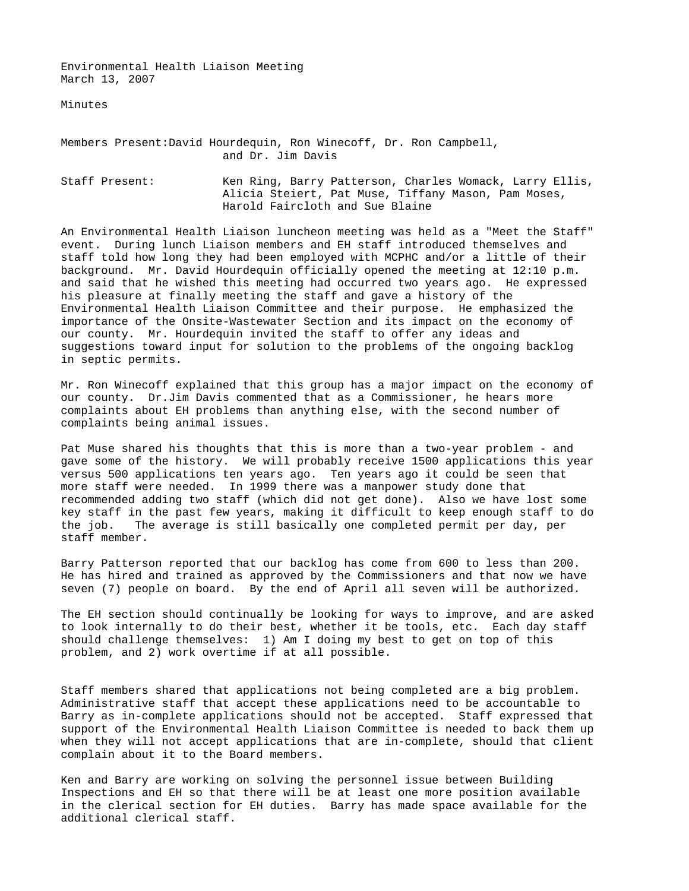Environmental Health Liaison Meeting March 13, 2007

Minutes

## Members Present: David Hourdequin, Ron Winecoff, Dr. Ron Campbell, and Dr. Jim Davis

Staff Present: Ken Ring, Barry Patterson, Charles Womack, Larry Ellis, Alicia Steiert, Pat Muse, Tiffany Mason, Pam Moses, Harold Faircloth and Sue Blaine

An Environmental Health Liaison luncheon meeting was held as a "Meet the Staff" event. During lunch Liaison members and EH staff introduced themselves and staff told how long they had been employed with MCPHC and/or a little of their background. Mr. David Hourdequin officially opened the meeting at 12:10 p.m. and said that he wished this meeting had occurred two years ago. He expressed his pleasure at finally meeting the staff and gave a history of the Environmental Health Liaison Committee and their purpose. He emphasized the importance of the Onsite-Wastewater Section and its impact on the economy of our county. Mr. Hourdequin invited the staff to offer any ideas and suggestions toward input for solution to the problems of the ongoing backlog in septic permits.

Mr. Ron Winecoff explained that this group has a major impact on the economy of our county. Dr.Jim Davis commented that as a Commissioner, he hears more complaints about EH problems than anything else, with the second number of complaints being animal issues.

Pat Muse shared his thoughts that this is more than a two-year problem - and gave some of the history. We will probably receive 1500 applications this year versus 500 applications ten years ago. Ten years ago it could be seen that more staff were needed. In 1999 there was a manpower study done that recommended adding two staff (which did not get done). Also we have lost some key staff in the past few years, making it difficult to keep enough staff to do the job. The average is still basically one completed permit per day, per staff member.

Barry Patterson reported that our backlog has come from 600 to less than 200. He has hired and trained as approved by the Commissioners and that now we have seven (7) people on board. By the end of April all seven will be authorized.

The EH section should continually be looking for ways to improve, and are asked to look internally to do their best, whether it be tools, etc. Each day staff should challenge themselves: 1) Am I doing my best to get on top of this problem, and 2) work overtime if at all possible.

Staff members shared that applications not being completed are a big problem. Administrative staff that accept these applications need to be accountable to Barry as in-complete applications should not be accepted. Staff expressed that support of the Environmental Health Liaison Committee is needed to back them up when they will not accept applications that are in-complete, should that client complain about it to the Board members.

Ken and Barry are working on solving the personnel issue between Building Inspections and EH so that there will be at least one more position available in the clerical section for EH duties. Barry has made space available for the additional clerical staff.